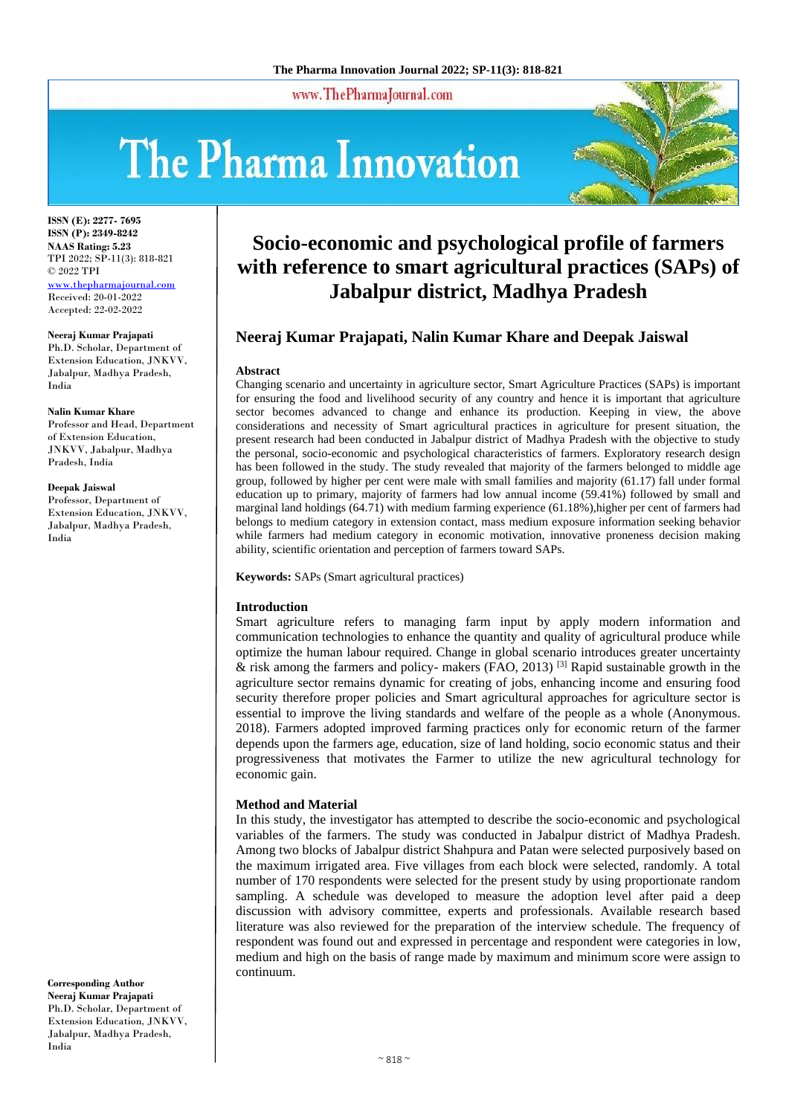www.ThePharmaJournal.com

# The Pharma Innovation



**ISSN (E): 2277- 7695 ISSN (P): 2349-8242 NAAS Rating: 5.23** TPI 2022; SP-11(3): 818-821 © 2022 TPI [www.thepharmajournal.com](file:///C:/Users/gupta/AppData/Roaming/Microsoft/Word/www.thepharmajournal.com) Received: 20-01-2022 Accepted: 22-02-2022

**Neeraj Kumar Prajapati**

Ph.D. Scholar, Department of Extension Education, JNKVV, Jabalpur, Madhya Pradesh, India

**Nalin Kumar Khare**

Professor and Head, Department of Extension Education, JNKVV, Jabalpur, Madhya Pradesh, India

**Deepak Jaiswal**

Professor, Department of Extension Education, JNKVV, Jabalpur, Madhya Pradesh, India

# **Corresponding Author Neeraj Kumar Prajapati** Ph.D. Scholar, Department of Extension Education, JNKVV,

Jabalpur, Madhya Pradesh, India

# **Socio-economic and psychological profile of farmers with reference to smart agricultural practices (SAPs) of Jabalpur district, Madhya Pradesh**

# **Neeraj Kumar Prajapati, Nalin Kumar Khare and Deepak Jaiswal**

#### **Abstract**

Changing scenario and uncertainty in agriculture sector, Smart Agriculture Practices (SAPs) is important for ensuring the food and livelihood security of any country and hence it is important that agriculture sector becomes advanced to change and enhance its production. Keeping in view, the above considerations and necessity of Smart agricultural practices in agriculture for present situation, the present research had been conducted in Jabalpur district of Madhya Pradesh with the objective to study the personal, socio-economic and psychological characteristics of farmers. Exploratory research design has been followed in the study. The study revealed that majority of the farmers belonged to middle age group, followed by higher per cent were male with small families and majority (61.17) fall under formal education up to primary, majority of farmers had low annual income (59.41%) followed by small and marginal land holdings (64.71) with medium farming experience (61.18%),higher per cent of farmers had belongs to medium category in extension contact, mass medium exposure information seeking behavior while farmers had medium category in economic motivation, innovative proneness decision making ability, scientific orientation and perception of farmers toward SAPs.

**Keywords:** SAPs (Smart agricultural practices)

#### **Introduction**

Smart agriculture refers to managing farm input by apply modern information and communication technologies to enhance the quantity and quality of agricultural produce while optimize the human labour required. Change in global scenario introduces greater uncertainty & risk among the farmers and policy- makers (FAO, 2013) [3] Rapid sustainable growth in the agriculture sector remains dynamic for creating of jobs, enhancing income and ensuring food security therefore proper policies and Smart agricultural approaches for agriculture sector is essential to improve the living standards and welfare of the people as a whole (Anonymous. 2018). Farmers adopted improved farming practices only for economic return of the farmer depends upon the farmers age, education, size of land holding, socio economic status and their progressiveness that motivates the Farmer to utilize the new agricultural technology for economic gain.

#### **Method and Material**

In this study, the investigator has attempted to describe the socio-economic and psychological variables of the farmers. The study was conducted in Jabalpur district of Madhya Pradesh. Among two blocks of Jabalpur district Shahpura and Patan were selected purposively based on the maximum irrigated area. Five villages from each block were selected, randomly. A total number of 170 respondents were selected for the present study by using proportionate random sampling. A schedule was developed to measure the adoption level after paid a deep discussion with advisory committee, experts and professionals. Available research based literature was also reviewed for the preparation of the interview schedule. The frequency of respondent was found out and expressed in percentage and respondent were categories in low, medium and high on the basis of range made by maximum and minimum score were assign to continuum.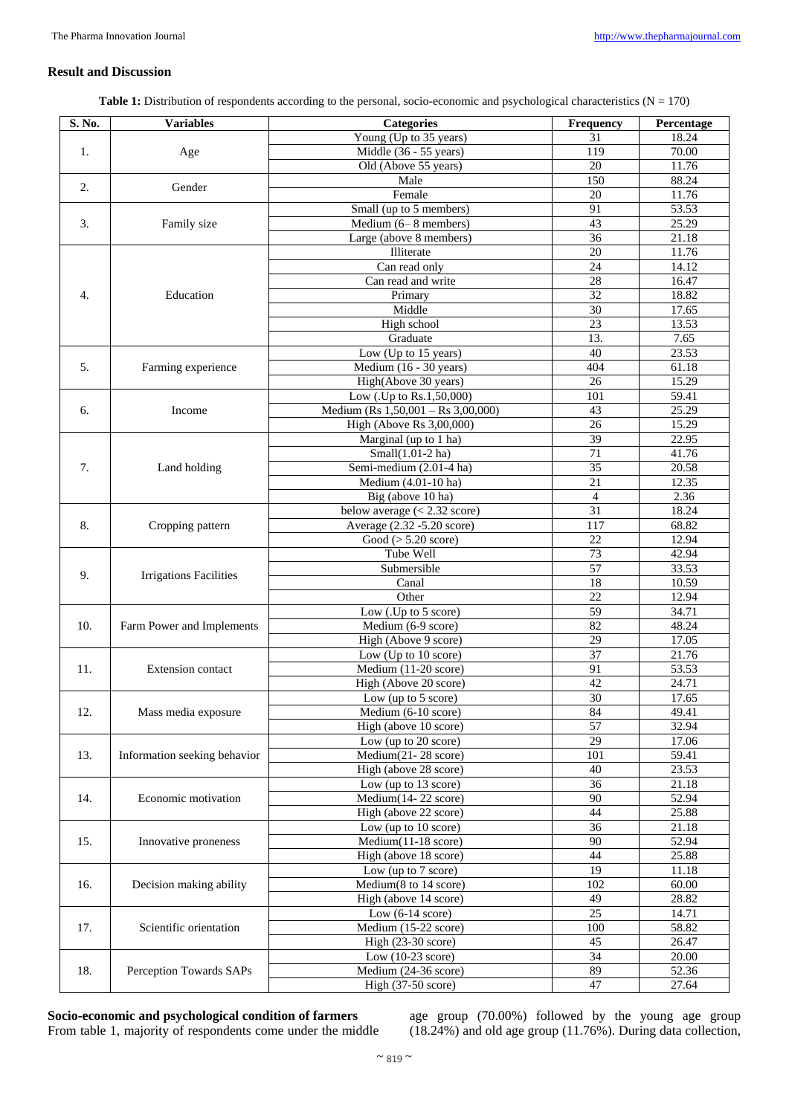## **Result and Discussion**

Table 1: Distribution of respondents according to the personal, socio-economic and psychological characteristics (N = 170)

| S. No. | <b>Variables</b>              | <b>Categories</b>                               | Frequency        | Percentage         |
|--------|-------------------------------|-------------------------------------------------|------------------|--------------------|
|        |                               | Young (Up to 35 years)                          | 31               | 18.24              |
| 1.     | Age                           | Middle (36 - 55 years)                          | $\overline{119}$ | 70.00              |
|        |                               | Old (Above 55 years)                            | 20               | 11.76              |
|        |                               | Male                                            | 150              | 88.24              |
| 2.     | Gender                        | Female                                          | 20               | 11.76              |
|        |                               | Small (up to 5 members)                         | 91               | 53.53              |
| 3.     | Family size                   | Medium (6-8 members)                            | $\overline{43}$  | 25.29              |
|        |                               | Large (above 8 members)                         | 36               | 21.18              |
|        |                               | Illiterate                                      | 20               | 11.76              |
| 4.     | Education                     | Can read only                                   | 24               | 14.12              |
|        |                               | Can read and write                              | $\overline{28}$  | 16.47              |
|        |                               |                                                 |                  |                    |
|        |                               | Primary                                         | $\overline{32}$  | 18.82              |
|        |                               | Middle                                          | 30               | 17.65              |
|        |                               | High school                                     | 23               | 13.53              |
|        |                               | Graduate                                        | 13.              | 7.65               |
| 5.     | Farming experience            | Low (Up to 15 years)                            | 40               | 23.53              |
|        |                               | Medium (16 - 30 years)                          | 404              | 61.18              |
|        |                               | High(Above 30 years)                            | $\overline{26}$  | 15.29              |
| 6.     | Income                        | Low (.Up to Rs.1,50,000)                        | 101              | $\overline{59.41}$ |
|        |                               | Medium (Rs $1,50,001 -$ Rs $3,00,000$ )         | 43               | 25.29              |
|        |                               | High (Above Rs 3,00,000)                        | 26               | 15.29              |
| 7.     | Land holding                  | Marginal (up to 1 ha)                           | 39               | 22.95              |
|        |                               | Small(1.01-2 ha)                                | 71               | 41.76              |
|        |                               | Semi-medium (2.01-4 ha)                         | $\overline{35}$  | 20.58              |
|        |                               | Medium (4.01-10 ha)                             | 21               | 12.35              |
|        |                               | Big (above 10 ha)                               | 4                | 2.36               |
| 8.     | Cropping pattern              | below average $(< 2.32$ score)                  | $\overline{31}$  | 18.24              |
|        |                               | Average (2.32 -5.20 score)                      | $\overline{117}$ | 68.82              |
|        |                               | Good ( $> 5.20$ score)                          | $\overline{22}$  | 12.94              |
| 9.     | <b>Irrigations Facilities</b> | Tube Well                                       | 73               | 42.94              |
|        |                               | Submersible                                     | $\overline{57}$  | 33.53              |
|        |                               | Canal                                           | $\overline{18}$  | 10.59              |
|        |                               | Other                                           | $\overline{22}$  | 12.94              |
| 10.    | Farm Power and Implements     | Low (.Up to 5 score)                            | 59               | 34.71              |
|        |                               | Medium (6-9 score)                              | 82               | 48.24              |
|        |                               | High (Above 9 score)                            | $\overline{29}$  | 17.05              |
|        |                               | Low (Up to 10 score)                            | $\overline{37}$  | 21.76              |
| 11.    | <b>Extension</b> contact      | Medium $(11-20 \text{ score})$                  | 91               | 53.53              |
|        |                               |                                                 | 42               |                    |
|        |                               | High (Above 20 score)                           |                  | 24.71              |
| 12.    | Mass media exposure           | Low (up to 5 score)                             | 30               | 17.65              |
|        |                               | Medium (6-10 score)                             | 84               | 49.41              |
|        |                               | High (above 10 score)                           | 57               | 32.94              |
| 13.    | Information seeking behavior  | Low (up to 20 score)                            | 29               | 17.06              |
|        |                               | Medium(21-28 score)                             | 101              | 59.41              |
|        |                               | High (above 28 score)                           | 40               | 23.53              |
| 14.    | Economic motivation           | Low (up to 13 score)                            | 36               | 21.18              |
|        |                               | $\overline{\text{Medium}(14-22 \text{ score})}$ | 90               | 52.94              |
|        |                               | High (above 22 score)                           | 44               | 25.88              |
| 15.    | Innovative proneness          | Low (up to 10 score)                            | $\overline{36}$  | 21.18              |
|        |                               | Medium(11-18 score)                             | $\overline{90}$  | 52.94              |
|        |                               | High (above 18 score)                           | 44               | 25.88              |
| 16.    | Decision making ability       | Low (up to $7$ score)                           | 19               | 11.18              |
|        |                               | Medium(8 to 14 score)                           | 102              | 60.00              |
|        |                               | High (above 14 score)                           | 49               | 28.82              |
| 17.    | Scientific orientation        | Low $(6-14 \text{ score})$                      | 25               | 14.71              |
|        |                               | Medium (15-22 score)                            | 100              | 58.82              |
|        |                               | High (23-30 score)                              | 45               | 26.47              |
|        |                               | Low $(10-23 \text{ score})$                     | 34               | 20.00              |
| 18.    | Perception Towards SAPs       | Medium (24-36 score)                            | 89               | 52.36              |
|        |                               | High (37-50 score)                              | 47               | 27.64              |
|        |                               |                                                 |                  |                    |

**Socio-economic and psychological condition of farmers** From table 1, majority of respondents come under the middle age group (70.00%) followed by the young age group (18.24%) and old age group (11.76%). During data collection,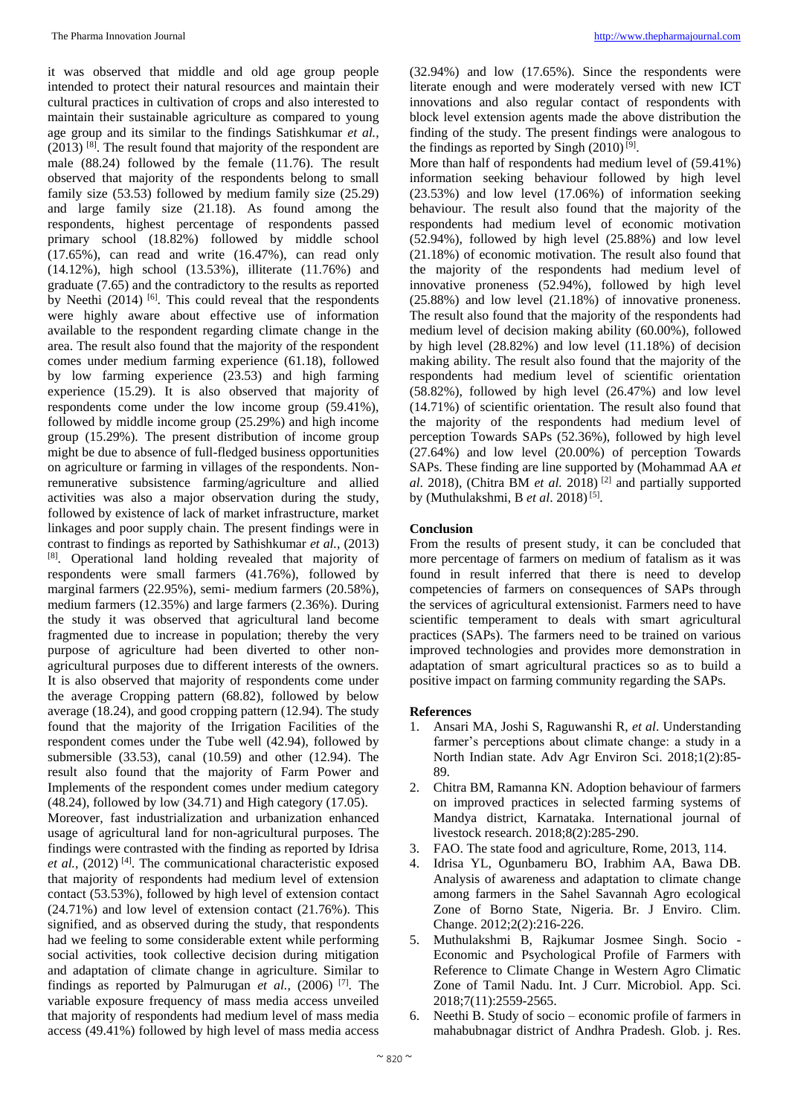it was observed that middle and old age group people intended to protect their natural resources and maintain their cultural practices in cultivation of crops and also interested to maintain their sustainable agriculture as compared to young age group and its similar to the findings Satishkumar *et al.,*   $(2013)$ <sup>[8]</sup>. The result found that majority of the respondent are male (88.24) followed by the female (11.76). The result observed that majority of the respondents belong to small family size (53.53) followed by medium family size (25.29) and large family size (21.18). As found among the respondents, highest percentage of respondents passed primary school (18.82%) followed by middle school (17.65%), can read and write (16.47%), can read only (14.12%), high school (13.53%), illiterate (11.76%) and graduate (7.65) and the contradictory to the results as reported by Neethi  $(2014)$  [6]. This could reveal that the respondents were highly aware about effective use of information available to the respondent regarding climate change in the area. The result also found that the majority of the respondent comes under medium farming experience (61.18), followed by low farming experience (23.53) and high farming experience (15.29). It is also observed that majority of respondents come under the low income group (59.41%), followed by middle income group (25.29%) and high income group (15.29%). The present distribution of income group might be due to absence of full-fledged business opportunities on agriculture or farming in villages of the respondents. Nonremunerative subsistence farming/agriculture and allied activities was also a major observation during the study, followed by existence of lack of market infrastructure, market linkages and poor supply chain. The present findings were in contrast to findings as reported by Sathishkumar *et al.,* (2013) [8]. Operational land holding revealed that majority of respondents were small farmers (41.76%), followed by marginal farmers (22.95%), semi- medium farmers (20.58%), medium farmers (12.35%) and large farmers (2.36%). During the study it was observed that agricultural land become fragmented due to increase in population; thereby the very purpose of agriculture had been diverted to other nonagricultural purposes due to different interests of the owners. It is also observed that majority of respondents come under the average Cropping pattern (68.82), followed by below average (18.24), and good cropping pattern (12.94). The study found that the majority of the Irrigation Facilities of the respondent comes under the Tube well (42.94), followed by submersible (33.53), canal (10.59) and other (12.94). The result also found that the majority of Farm Power and Implements of the respondent comes under medium category (48.24), followed by low (34.71) and High category (17.05). Moreover, fast industrialization and urbanization enhanced usage of agricultural land for non-agricultural purposes. The findings were contrasted with the finding as reported by Idrisa *et al.,* (2012) [4]. The communicational characteristic exposed that majority of respondents had medium level of extension contact (53.53%), followed by high level of extension contact (24.71%) and low level of extension contact (21.76%). This signified, and as observed during the study, that respondents had we feeling to some considerable extent while performing social activities, took collective decision during mitigation and adaptation of climate change in agriculture. Similar to findings as reported by Palmurugan *et al.,* (2006) [7]. The variable exposure frequency of mass media access unveiled that majority of respondents had medium level of mass media access (49.41%) followed by high level of mass media access

(32.94%) and low (17.65%). Since the respondents were literate enough and were moderately versed with new ICT innovations and also regular contact of respondents with block level extension agents made the above distribution the finding of the study. The present findings were analogous to the findings as reported by Singh  $(2010)^{9}$ .

More than half of respondents had medium level of (59.41%) information seeking behaviour followed by high level (23.53%) and low level (17.06%) of information seeking behaviour. The result also found that the majority of the respondents had medium level of economic motivation  $(52.94\%)$ , followed by high level  $(25.88\%)$  and low level (21.18%) of economic motivation. The result also found that the majority of the respondents had medium level of innovative proneness (52.94%), followed by high level (25.88%) and low level (21.18%) of innovative proneness. The result also found that the majority of the respondents had medium level of decision making ability (60.00%), followed by high level (28.82%) and low level (11.18%) of decision making ability. The result also found that the majority of the respondents had medium level of scientific orientation (58.82%), followed by high level (26.47%) and low level (14.71%) of scientific orientation. The result also found that the majority of the respondents had medium level of perception Towards SAPs (52.36%), followed by high level (27.64%) and low level (20.00%) of perception Towards SAPs. These finding are line supported by (Mohammad AA *et al*. 2018), (Chitra BM *et al.* 2018) [2] and partially supported by (Muthulakshmi, B et al. 2018)<sup>[5]</sup>.

### **Conclusion**

From the results of present study, it can be concluded that more percentage of farmers on medium of fatalism as it was found in result inferred that there is need to develop competencies of farmers on consequences of SAPs through the services of agricultural extensionist. Farmers need to have scientific temperament to deals with smart agricultural practices (SAPs). The farmers need to be trained on various improved technologies and provides more demonstration in adaptation of smart agricultural practices so as to build a positive impact on farming community regarding the SAPs.

#### **References**

- 1. Ansari MA, Joshi S, Raguwanshi R, *et al*. Understanding farmer's perceptions about climate change: a study in a North Indian state. Adv Agr Environ Sci. 2018;1(2):85- 89.
- 2. Chitra BM, Ramanna KN. Adoption behaviour of farmers on improved practices in selected farming systems of Mandya district, Karnataka. International journal of livestock research. 2018;8(2):285-290.
- 3. FAO. The state food and agriculture, Rome, 2013, 114.
- 4. Idrisa YL, Ogunbameru BO, Irabhim AA, Bawa DB. Analysis of awareness and adaptation to climate change among farmers in the Sahel Savannah Agro ecological Zone of Borno State, Nigeria. Br. J Enviro. Clim. Change. 2012;2(2):216-226.
- 5. Muthulakshmi B, Rajkumar Josmee Singh. Socio Economic and Psychological Profile of Farmers with Reference to Climate Change in Western Agro Climatic Zone of Tamil Nadu. Int. J Curr. Microbiol. App. Sci. 2018;7(11):2559-2565.
- 6. Neethi B. Study of socio economic profile of farmers in mahabubnagar district of Andhra Pradesh. Glob. j. Res.